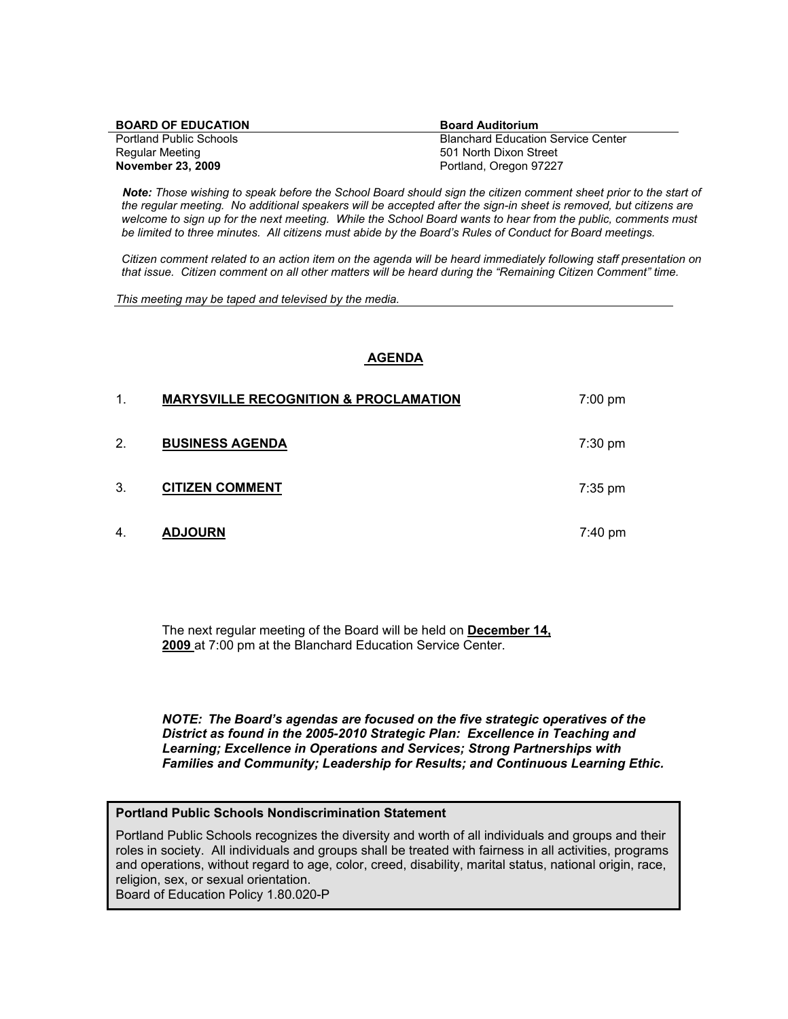| <b>BOARD OF EDUCATION</b>      | <b>Board Auditorium</b>                   |
|--------------------------------|-------------------------------------------|
| <b>Portland Public Schools</b> | <b>Blanchard Education Service Center</b> |
| Regular Meeting                | 501 North Dixon Street                    |
| November 23, 2009              | Portland, Oregon 97227                    |

 *Note: Those wishing to speak before the School Board should sign the citizen comment sheet prior to the start of the regular meeting. No additional speakers will be accepted after the sign-in sheet is removed, but citizens are welcome to sign up for the next meeting. While the School Board wants to hear from the public, comments must be limited to three minutes. All citizens must abide by the Board's Rules of Conduct for Board meetings.* 

 *Citizen comment related to an action item on the agenda will be heard immediately following staff presentation on that issue. Citizen comment on all other matters will be heard during the "Remaining Citizen Comment" time.* 

*This meeting may be taped and televised by the media.* 

#### **AGENDA**

| $\mathbf 1$ | <b>MARYSVILLE RECOGNITION &amp; PROCLAMATION</b> | $7:00$ pm         |
|-------------|--------------------------------------------------|-------------------|
| 2.          | <b>BUSINESS AGENDA</b>                           | $7:30 \text{ pm}$ |
| 3.          | <b>CITIZEN COMMENT</b>                           | $7:35$ pm         |
| 4.          | <b>ADJOURN</b>                                   | 7:40 pm           |

The next regular meeting of the Board will be held on **December 14, 2009** at 7:00 pm at the Blanchard Education Service Center.

*NOTE: The Board's agendas are focused on the five strategic operatives of the District as found in the 2005-2010 Strategic Plan: Excellence in Teaching and Learning; Excellence in Operations and Services; Strong Partnerships with Families and Community; Leadership for Results; and Continuous Learning Ethic.* 

#### **Portland Public Schools Nondiscrimination Statement**

Portland Public Schools recognizes the diversity and worth of all individuals and groups and their roles in society. All individuals and groups shall be treated with fairness in all activities, programs and operations, without regard to age, color, creed, disability, marital status, national origin, race, religion, sex, or sexual orientation.

Board of Education Policy 1.80.020-P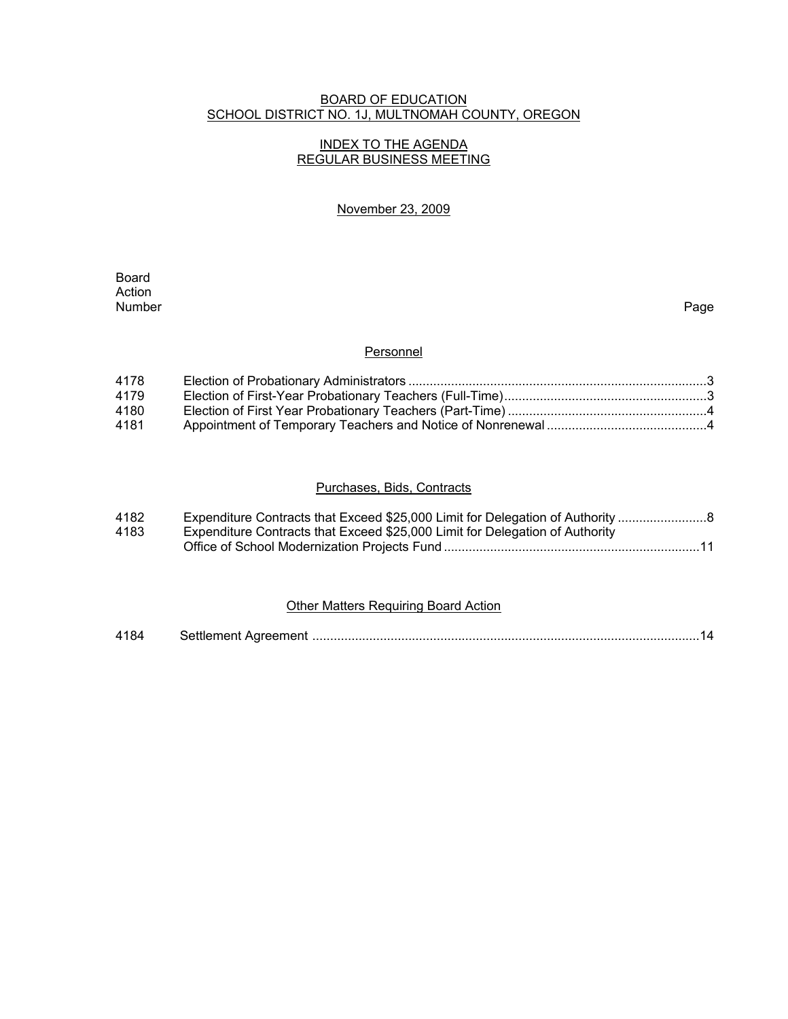### BOARD OF EDUCATION SCHOOL DISTRICT NO. 1J, MULTNOMAH COUNTY, OREGON

### INDEX TO THE AGENDA REGULAR BUSINESS MEETING

### November 23, 2009

**Board Board** Action<br>Number Number Page

#### **Personnel**

| 4178 |  |
|------|--|
| 4179 |  |
| 4180 |  |
| 4181 |  |

### Purchases, Bids, Contracts

| 4182 | Expenditure Contracts that Exceed \$25,000 Limit for Delegation of Authority |
|------|------------------------------------------------------------------------------|
| 4183 | Expenditure Contracts that Exceed \$25,000 Limit for Delegation of Authority |
|      |                                                                              |

### Other Matters Requiring Board Action

| 4184 |  |  |  |
|------|--|--|--|
|------|--|--|--|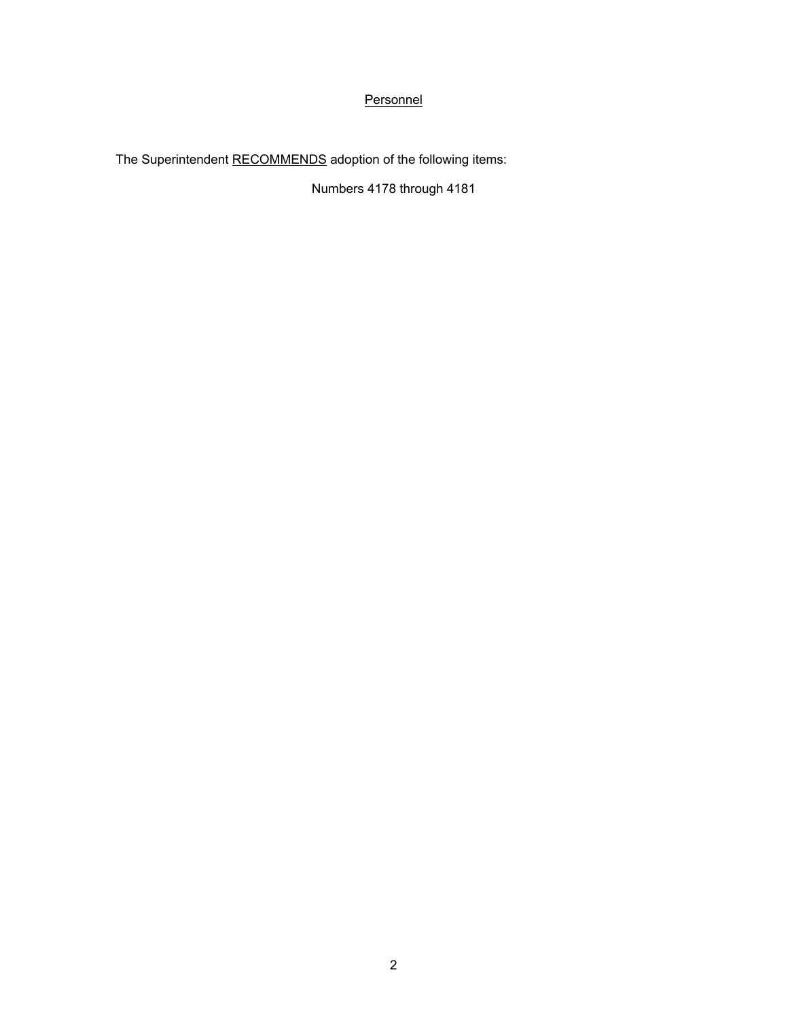# **Personnel**

The Superintendent RECOMMENDS adoption of the following items:

Numbers 4178 through 4181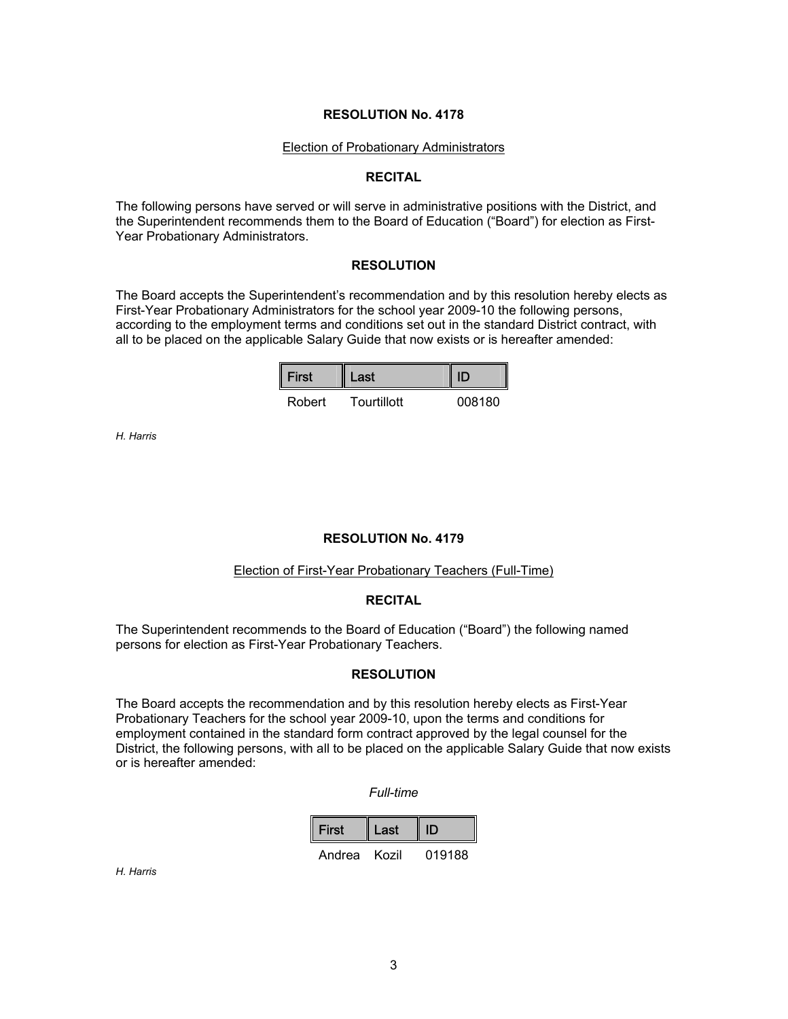#### Election of Probationary Administrators

#### **RECITAL**

The following persons have served or will serve in administrative positions with the District, and the Superintendent recommends them to the Board of Education ("Board") for election as First-Year Probationary Administrators.

#### **RESOLUTION**

The Board accepts the Superintendent's recommendation and by this resolution hereby elects as First-Year Probationary Administrators for the school year 2009-10 the following persons, according to the employment terms and conditions set out in the standard District contract, with all to be placed on the applicable Salary Guide that now exists or is hereafter amended:

| $\vert$ First | Last        |        |
|---------------|-------------|--------|
| Robert        | Tourtillott | 008180 |

*H. Harris* 

#### **RESOLUTION No. 4179**

#### Election of First-Year Probationary Teachers (Full-Time)

#### **RECITAL**

The Superintendent recommends to the Board of Education ("Board") the following named persons for election as First-Year Probationary Teachers.

## **RESOLUTION**

The Board accepts the recommendation and by this resolution hereby elects as First-Year Probationary Teachers for the school year 2009-10, upon the terms and conditions for employment contained in the standard form contract approved by the legal counsel for the District, the following persons, with all to be placed on the applicable Salary Guide that now exists or is hereafter amended:

#### *Full-time*

| First  | Last  |        |
|--------|-------|--------|
| Andrea | Kozil | 019188 |

*H. Harris*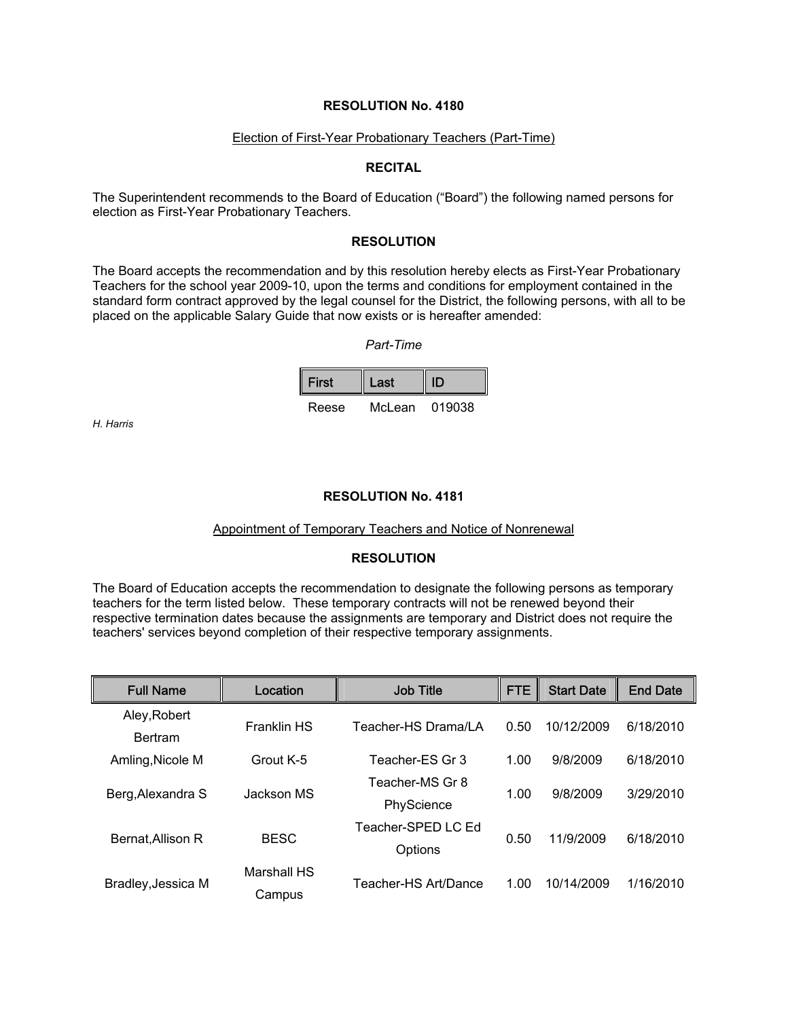#### Election of First-Year Probationary Teachers (Part-Time)

#### **RECITAL**

The Superintendent recommends to the Board of Education ("Board") the following named persons for election as First-Year Probationary Teachers.

### **RESOLUTION**

The Board accepts the recommendation and by this resolution hereby elects as First-Year Probationary Teachers for the school year 2009-10, upon the terms and conditions for employment contained in the standard form contract approved by the legal counsel for the District, the following persons, with all to be placed on the applicable Salary Guide that now exists or is hereafter amended:

*Part-Time* 

| First | Last   |        |  |
|-------|--------|--------|--|
| Reese | McLean | 019038 |  |

*H. Harris* 

### **RESOLUTION No. 4181**

#### Appointment of Temporary Teachers and Notice of Nonrenewal

#### **RESOLUTION**

The Board of Education accepts the recommendation to designate the following persons as temporary teachers for the term listed below. These temporary contracts will not be renewed beyond their respective termination dates because the assignments are temporary and District does not require the teachers' services beyond completion of their respective temporary assignments.

| <b>Full Name</b>   | Location           | <b>Job Title</b>     | <b>FTE</b> | <b>Start Date</b> | <b>End Date</b> |
|--------------------|--------------------|----------------------|------------|-------------------|-----------------|
| Aley, Robert       | <b>Franklin HS</b> | Teacher-HS Drama/LA  | 0.50       | 10/12/2009        | 6/18/2010       |
| <b>Bertram</b>     |                    |                      |            |                   |                 |
| Amling, Nicole M   | Grout K-5          | Teacher-ES Gr 3      | 1.00       | 9/8/2009          | 6/18/2010       |
|                    | Jackson MS         | Teacher-MS Gr 8      | 1.00       | 9/8/2009          | 3/29/2010       |
| Berg, Alexandra S  |                    | PhyScience           |            |                   |                 |
|                    | <b>BESC</b>        | Teacher-SPED LC Ed   |            | 11/9/2009         | 6/18/2010       |
| Bernat, Allison R  |                    | Options              | 0.50       |                   |                 |
| Bradley, Jessica M | Marshall HS        |                      |            |                   |                 |
|                    | Campus             | Teacher-HS Art/Dance | 1.00       | 10/14/2009        | 1/16/2010       |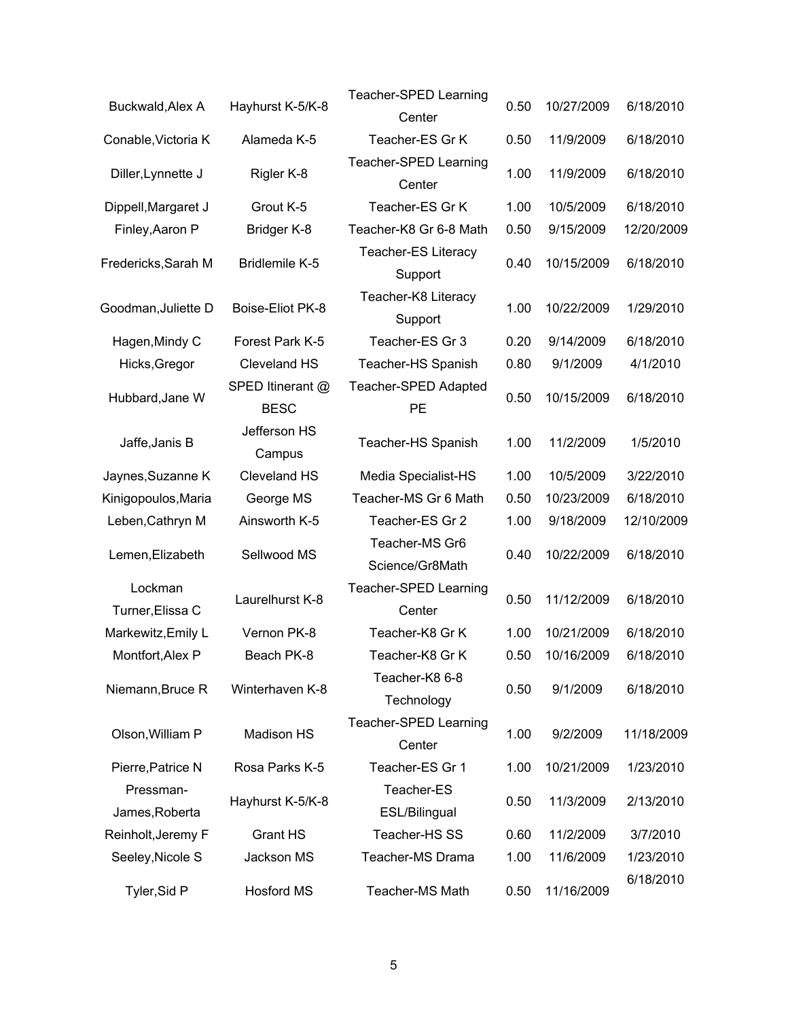| Buckwald, Alex A            | Hayhurst K-5/K-8                | Teacher-SPED Learning<br>Center       | 0.50 | 10/27/2009 | 6/18/2010  |
|-----------------------------|---------------------------------|---------------------------------------|------|------------|------------|
| Conable, Victoria K         | Alameda K-5                     | Teacher-ES Gr K                       | 0.50 | 11/9/2009  | 6/18/2010  |
| Diller, Lynnette J          | Rigler K-8                      | Teacher-SPED Learning<br>Center       | 1.00 | 11/9/2009  | 6/18/2010  |
| Dippell, Margaret J         | Grout K-5                       | Teacher-ES Gr K                       | 1.00 | 10/5/2009  | 6/18/2010  |
| Finley, Aaron P             | Bridger K-8                     | Teacher-K8 Gr 6-8 Math                | 0.50 | 9/15/2009  | 12/20/2009 |
| Fredericks, Sarah M         | <b>Bridlemile K-5</b>           | <b>Teacher-ES Literacy</b><br>Support | 0.40 | 10/15/2009 | 6/18/2010  |
| Goodman, Juliette D         | Boise-Eliot PK-8                | Teacher-K8 Literacy<br>Support        | 1.00 | 10/22/2009 | 1/29/2010  |
| Hagen, Mindy C              | Forest Park K-5                 | Teacher-ES Gr 3                       | 0.20 | 9/14/2009  | 6/18/2010  |
| Hicks, Gregor               | <b>Cleveland HS</b>             | Teacher-HS Spanish                    | 0.80 | 9/1/2009   | 4/1/2010   |
| Hubbard, Jane W             | SPED Itinerant @<br><b>BESC</b> | Teacher-SPED Adapted<br><b>PE</b>     | 0.50 | 10/15/2009 | 6/18/2010  |
| Jaffe, Janis B              | Jefferson HS<br>Campus          | Teacher-HS Spanish                    | 1.00 | 11/2/2009  | 1/5/2010   |
| Jaynes, Suzanne K           | Cleveland HS                    | Media Specialist-HS                   | 1.00 | 10/5/2009  | 3/22/2010  |
| Kinigopoulos, Maria         | George MS                       | Teacher-MS Gr 6 Math                  | 0.50 | 10/23/2009 | 6/18/2010  |
| Leben, Cathryn M            | Ainsworth K-5                   | Teacher-ES Gr 2                       | 1.00 | 9/18/2009  | 12/10/2009 |
| Lemen, Elizabeth            | Sellwood MS                     | Teacher-MS Gr6<br>Science/Gr8Math     | 0.40 | 10/22/2009 | 6/18/2010  |
| Lockman<br>Turner, Elissa C | Laurelhurst K-8                 | Teacher-SPED Learning<br>Center       | 0.50 | 11/12/2009 | 6/18/2010  |
| Markewitz, Emily L          | Vernon PK-8                     | Teacher-K8 Gr K                       | 1.00 | 10/21/2009 | 6/18/2010  |
| Montfort, Alex P            | Beach PK-8                      | Teacher-K8 Gr K                       | 0.50 | 10/16/2009 | 6/18/2010  |
| Niemann, Bruce R            | Winterhaven K-8                 | Teacher-K8 6-8<br>Technology          | 0.50 | 9/1/2009   | 6/18/2010  |
| Olson, William P            | Madison HS                      | Teacher-SPED Learning<br>Center       | 1.00 | 9/2/2009   | 11/18/2009 |
| Pierre, Patrice N           | Rosa Parks K-5                  | Teacher-ES Gr 1                       | 1.00 | 10/21/2009 | 1/23/2010  |
| Pressman-<br>James, Roberta | Hayhurst K-5/K-8                | Teacher-ES<br>ESL/Bilingual           | 0.50 | 11/3/2009  | 2/13/2010  |
| Reinholt, Jeremy F          | <b>Grant HS</b>                 | Teacher-HS SS                         | 0.60 | 11/2/2009  | 3/7/2010   |
| Seeley, Nicole S            | Jackson MS                      | Teacher-MS Drama                      | 1.00 | 11/6/2009  | 1/23/2010  |
| Tyler, Sid P                | Hosford MS                      | Teacher-MS Math                       | 0.50 | 11/16/2009 | 6/18/2010  |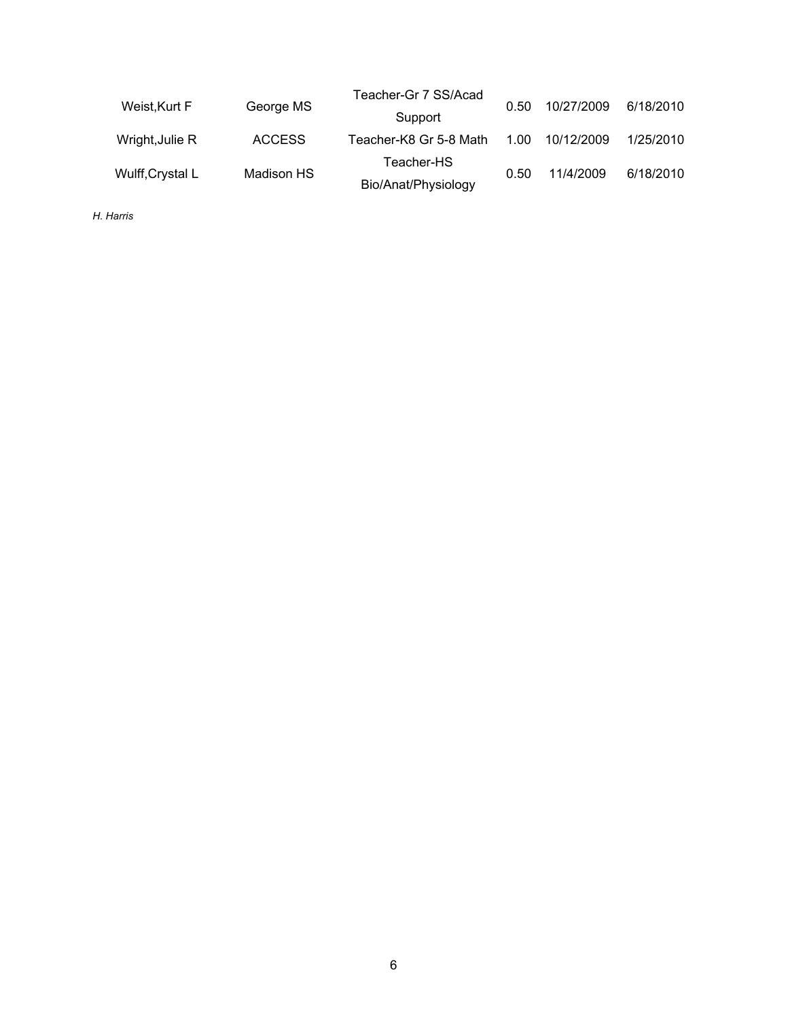| Weist, Kurt F    | George MS     | Teacher-Gr 7 SS/Acad   | 0.50 | 10/27/2009 | 6/18/2010 |
|------------------|---------------|------------------------|------|------------|-----------|
|                  |               | Support                |      |            |           |
| Wright, Julie R  | <b>ACCESS</b> | Teacher-K8 Gr 5-8 Math | 1.00 | 10/12/2009 | 1/25/2010 |
| Wulff, Crystal L | Madison HS    | Teacher-HS             | 0.50 | 11/4/2009  | 6/18/2010 |
|                  |               | Bio/Anat/Physiology    |      |            |           |

*H. Harris*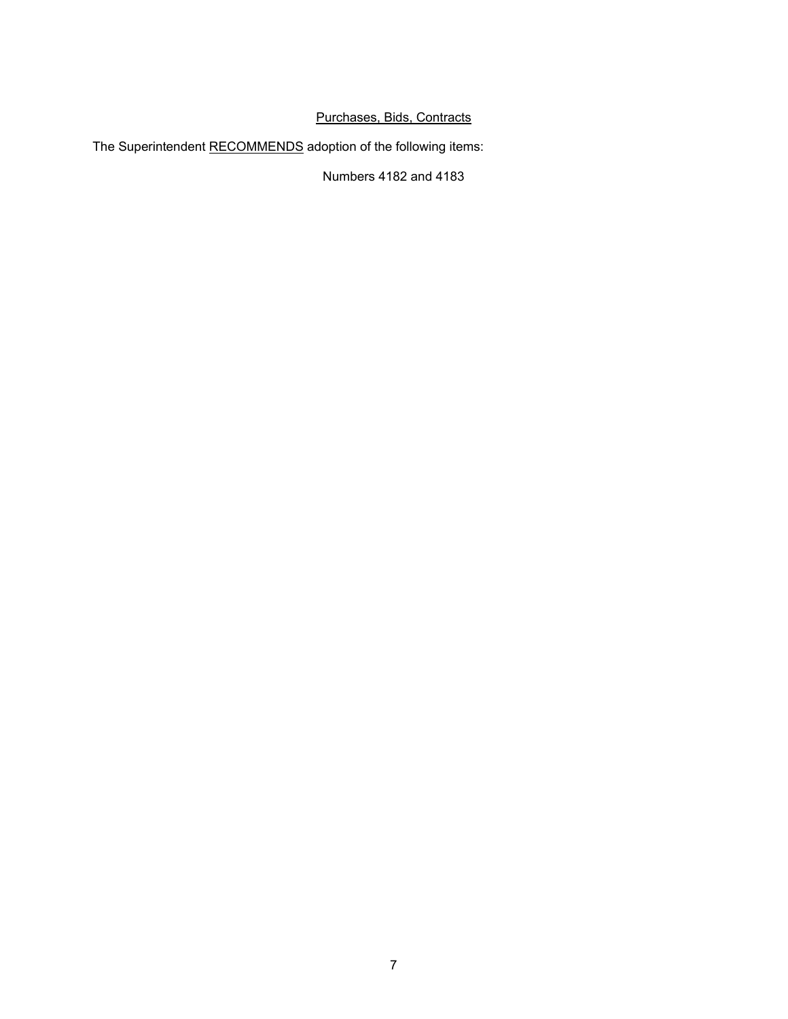## Purchases, Bids, Contracts

The Superintendent RECOMMENDS adoption of the following items:

Numbers 4182 and 4183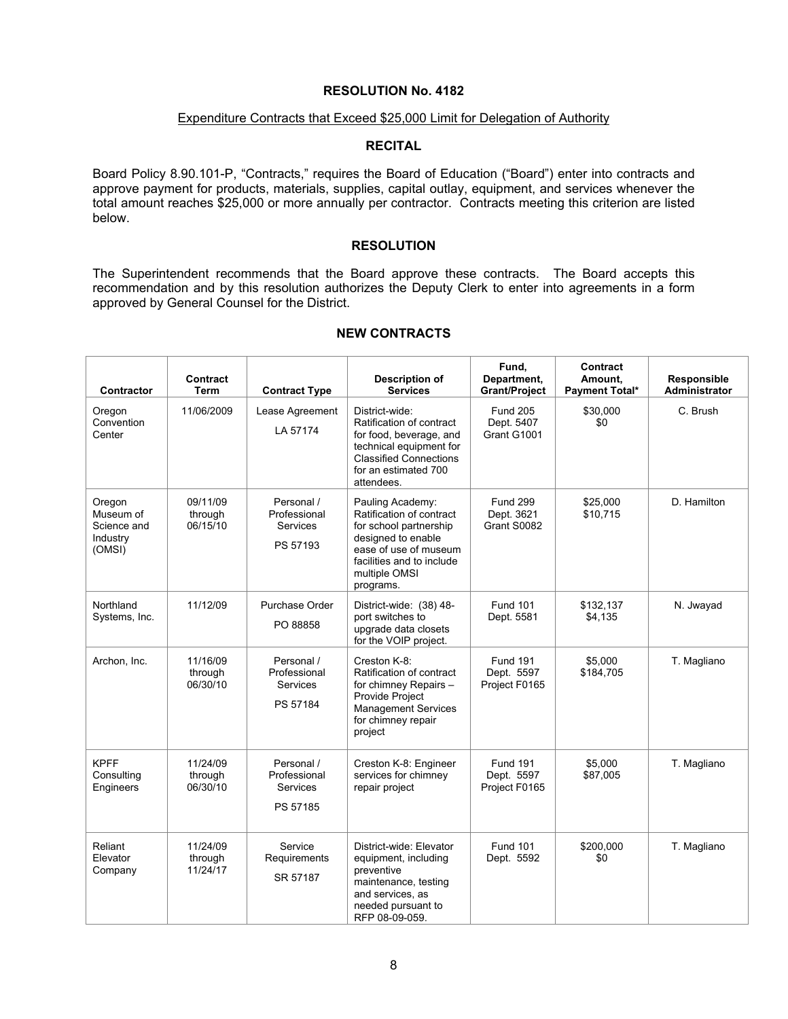#### Expenditure Contracts that Exceed \$25,000 Limit for Delegation of Authority

### **RECITAL**

Board Policy 8.90.101-P, "Contracts," requires the Board of Education ("Board") enter into contracts and approve payment for products, materials, supplies, capital outlay, equipment, and services whenever the total amount reaches \$25,000 or more annually per contractor. Contracts meeting this criterion are listed below.

### **RESOLUTION**

The Superintendent recommends that the Board approve these contracts. The Board accepts this recommendation and by this resolution authorizes the Deputy Clerk to enter into agreements in a form approved by General Counsel for the District.

| Contractor                                               | Contract<br><b>Term</b>         | <b>Contract Type</b>                               | <b>Description of</b><br><b>Services</b>                                                                                                                                         | Fund,<br>Department,<br><b>Grant/Project</b>   | Contract<br>Amount,<br><b>Payment Total*</b> | Responsible<br>Administrator |
|----------------------------------------------------------|---------------------------------|----------------------------------------------------|----------------------------------------------------------------------------------------------------------------------------------------------------------------------------------|------------------------------------------------|----------------------------------------------|------------------------------|
| Oregon<br>Convention<br>Center                           | 11/06/2009                      | Lease Agreement<br>LA 57174                        | District-wide:<br>Ratification of contract<br>for food, beverage, and<br>technical equipment for<br><b>Classified Connections</b><br>for an estimated 700<br>attendees.          | <b>Fund 205</b><br>Dept. 5407<br>Grant G1001   | \$30,000<br>\$0                              | C. Brush                     |
| Oregon<br>Museum of<br>Science and<br>Industry<br>(OMSI) | 09/11/09<br>through<br>06/15/10 | Personal /<br>Professional<br>Services<br>PS 57193 | Pauling Academy:<br>Ratification of contract<br>for school partnership<br>designed to enable<br>ease of use of museum<br>facilities and to include<br>multiple OMSI<br>programs. | <b>Fund 299</b><br>Dept. 3621<br>Grant S0082   | \$25,000<br>\$10,715                         | D. Hamilton                  |
| Northland<br>Systems, Inc.                               | 11/12/09                        | Purchase Order<br>PO 88858                         | District-wide: (38) 48-<br>port switches to<br>upgrade data closets<br>for the VOIP project.                                                                                     | <b>Fund 101</b><br>Dept. 5581                  | \$132,137<br>\$4,135                         | N. Jwayad                    |
| Archon, Inc.                                             | 11/16/09<br>through<br>06/30/10 | Personal /<br>Professional<br>Services<br>PS 57184 | Creston K-8:<br>Ratification of contract<br>for chimney Repairs -<br>Provide Project<br><b>Management Services</b><br>for chimney repair<br>project                              | <b>Fund 191</b><br>Dept. 5597<br>Project F0165 | \$5.000<br>\$184,705                         | T. Magliano                  |
| <b>KPFF</b><br>Consulting<br>Engineers                   | 11/24/09<br>through<br>06/30/10 | Personal /<br>Professional<br>Services<br>PS 57185 | Creston K-8: Engineer<br>services for chimney<br>repair project                                                                                                                  | <b>Fund 191</b><br>Dept. 5597<br>Project F0165 | \$5,000<br>\$87,005                          | T. Magliano                  |
| Reliant<br>Elevator<br>Company                           | 11/24/09<br>through<br>11/24/17 | Service<br>Requirements<br>SR 57187                | District-wide: Elevator<br>equipment, including<br>preventive<br>maintenance, testing<br>and services, as<br>needed pursuant to<br>RFP 08-09-059.                                | <b>Fund 101</b><br>Dept. 5592                  | \$200.000<br>\$0                             | T. Magliano                  |

## **NEW CONTRACTS**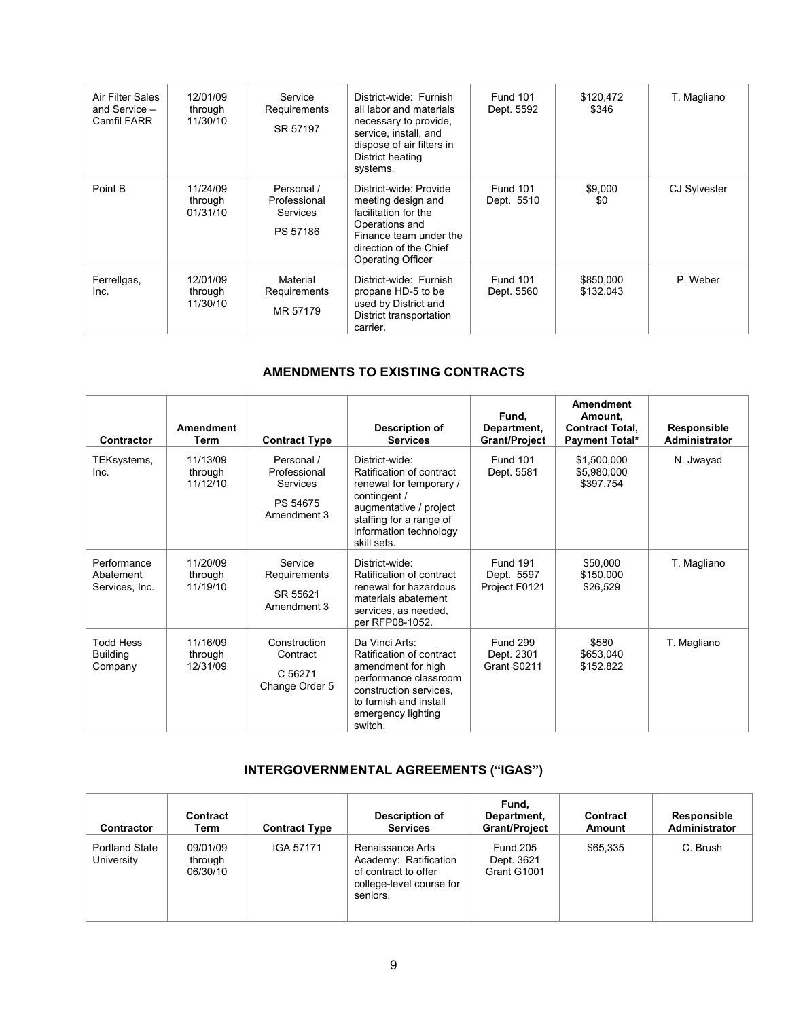| Air Filter Sales<br>and Service -<br>Camfil FARR | 12/01/09<br>through<br>11/30/10 | Service<br>Requirements<br>SR 57197                | District-wide: Furnish<br>all labor and materials<br>necessary to provide,<br>service, install, and<br>dispose of air filters in<br>District heating<br>systems. | <b>Fund 101</b><br>Dept. 5592 | \$120,472<br>\$346     | T. Magliano         |
|--------------------------------------------------|---------------------------------|----------------------------------------------------|------------------------------------------------------------------------------------------------------------------------------------------------------------------|-------------------------------|------------------------|---------------------|
| Point B                                          | 11/24/09<br>through<br>01/31/10 | Personal /<br>Professional<br>Services<br>PS 57186 | District-wide: Provide<br>meeting design and<br>facilitation for the<br>Operations and<br>Finance team under the<br>direction of the Chief<br>Operating Officer  | <b>Fund 101</b><br>Dept. 5510 | \$9,000<br>\$0         | <b>CJ Sylvester</b> |
| Ferrellgas,<br>Inc.                              | 12/01/09<br>through<br>11/30/10 | Material<br>Requirements<br>MR 57179               | District-wide: Furnish<br>propane HD-5 to be<br>used by District and<br>District transportation<br>carrier.                                                      | <b>Fund 101</b><br>Dept. 5560 | \$850,000<br>\$132,043 | P. Weber            |

## **AMENDMENTS TO EXISTING CONTRACTS**

| Contractor                                     | <b>Amendment</b><br>Term        | <b>Contract Type</b>                                              | Description of<br><b>Services</b>                                                                                                                                                   | Fund,<br>Department,<br><b>Grant/Project</b>   | <b>Amendment</b><br>Amount.<br><b>Contract Total.</b><br><b>Payment Total*</b> | Responsible<br>Administrator |
|------------------------------------------------|---------------------------------|-------------------------------------------------------------------|-------------------------------------------------------------------------------------------------------------------------------------------------------------------------------------|------------------------------------------------|--------------------------------------------------------------------------------|------------------------------|
| TEKsystems,<br>Inc.                            | 11/13/09<br>through<br>11/12/10 | Personal /<br>Professional<br>Services<br>PS 54675<br>Amendment 3 | District-wide:<br>Ratification of contract<br>renewal for temporary /<br>contingent /<br>augmentative / project<br>staffing for a range of<br>information technology<br>skill sets. | <b>Fund 101</b><br>Dept. 5581                  | \$1,500,000<br>\$5,980,000<br>\$397,754                                        | N. Jwayad                    |
| Performance<br>Abatement<br>Services, Inc.     | 11/20/09<br>through<br>11/19/10 | Service<br>Requirements<br>SR 55621<br>Amendment 3                | District-wide:<br>Ratification of contract<br>renewal for hazardous<br>materials abatement<br>services, as needed,<br>per RFP08-1052.                                               | <b>Fund 191</b><br>Dept. 5597<br>Project F0121 | \$50,000<br>\$150.000<br>\$26,529                                              | T. Magliano                  |
| <b>Todd Hess</b><br><b>Building</b><br>Company | 11/16/09<br>through<br>12/31/09 | Construction<br>Contract<br>C 56271<br>Change Order 5             | Da Vinci Arts:<br>Ratification of contract<br>amendment for high<br>performance classroom<br>construction services.<br>to furnish and install<br>emergency lighting<br>switch.      | <b>Fund 299</b><br>Dept. 2301<br>Grant S0211   | \$580<br>\$653,040<br>\$152,822                                                | T. Magliano                  |

# **INTERGOVERNMENTAL AGREEMENTS ("IGAS")**

| Contractor                          | Contract<br>Term                | <b>Contract Type</b> | Description of<br><b>Services</b>                                                                         | Fund.<br>Department,<br><b>Grant/Project</b> | Contract<br>Amount | Responsible<br>Administrator |
|-------------------------------------|---------------------------------|----------------------|-----------------------------------------------------------------------------------------------------------|----------------------------------------------|--------------------|------------------------------|
| <b>Portland State</b><br>University | 09/01/09<br>through<br>06/30/10 | IGA 57171            | Renaissance Arts<br>Academy: Ratification<br>of contract to offer<br>college-level course for<br>seniors. | <b>Fund 205</b><br>Dept. 3621<br>Grant G1001 | \$65,335           | C. Brush                     |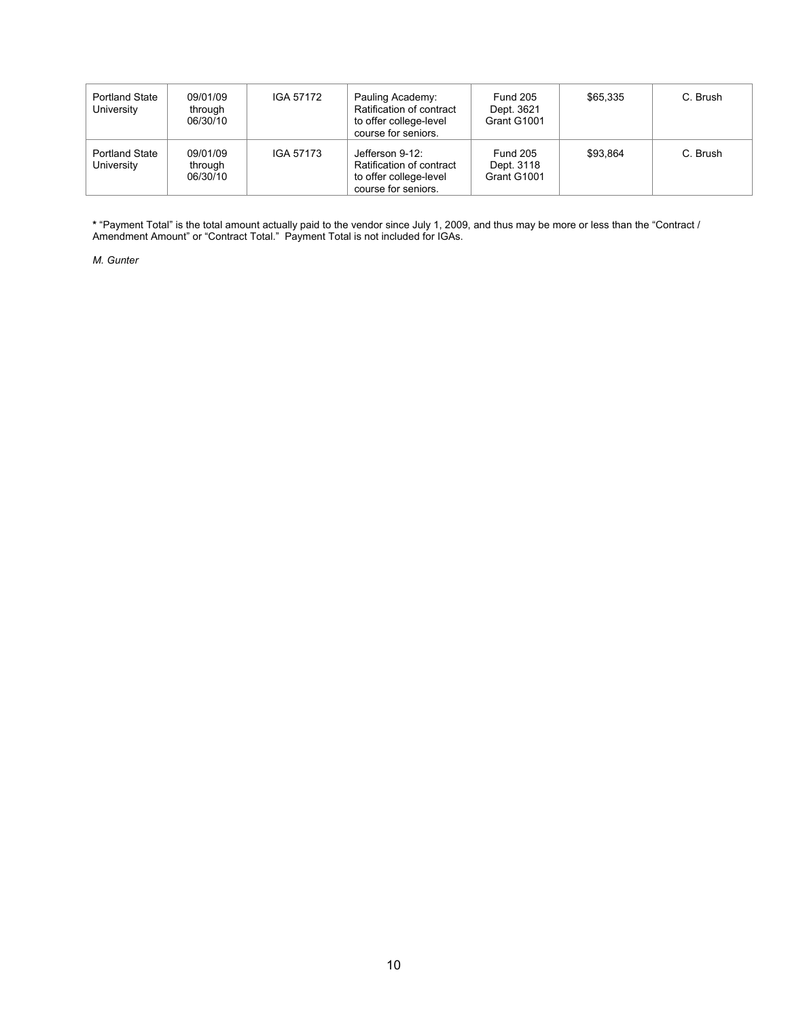| <b>Portland State</b><br>University | 09/01/09<br>through<br>06/30/10 | IGA 57172 | Pauling Academy:<br>Ratification of contract<br>to offer college-level<br>course for seniors. | <b>Fund 205</b><br>Dept. 3621<br>Grant G1001 | \$65,335 | C. Brush |
|-------------------------------------|---------------------------------|-----------|-----------------------------------------------------------------------------------------------|----------------------------------------------|----------|----------|
| <b>Portland State</b><br>University | 09/01/09<br>through<br>06/30/10 | IGA 57173 | Jefferson 9-12:<br>Ratification of contract<br>to offer college-level<br>course for seniors.  | <b>Fund 205</b><br>Dept. 3118<br>Grant G1001 | \$93.864 | C. Brush |

**\*** "Payment Total" is the total amount actually paid to the vendor since July 1, 2009, and thus may be more or less than the "Contract / Amendment Amount" or "Contract Total." Payment Total is not included for IGAs.

*M. Gunter*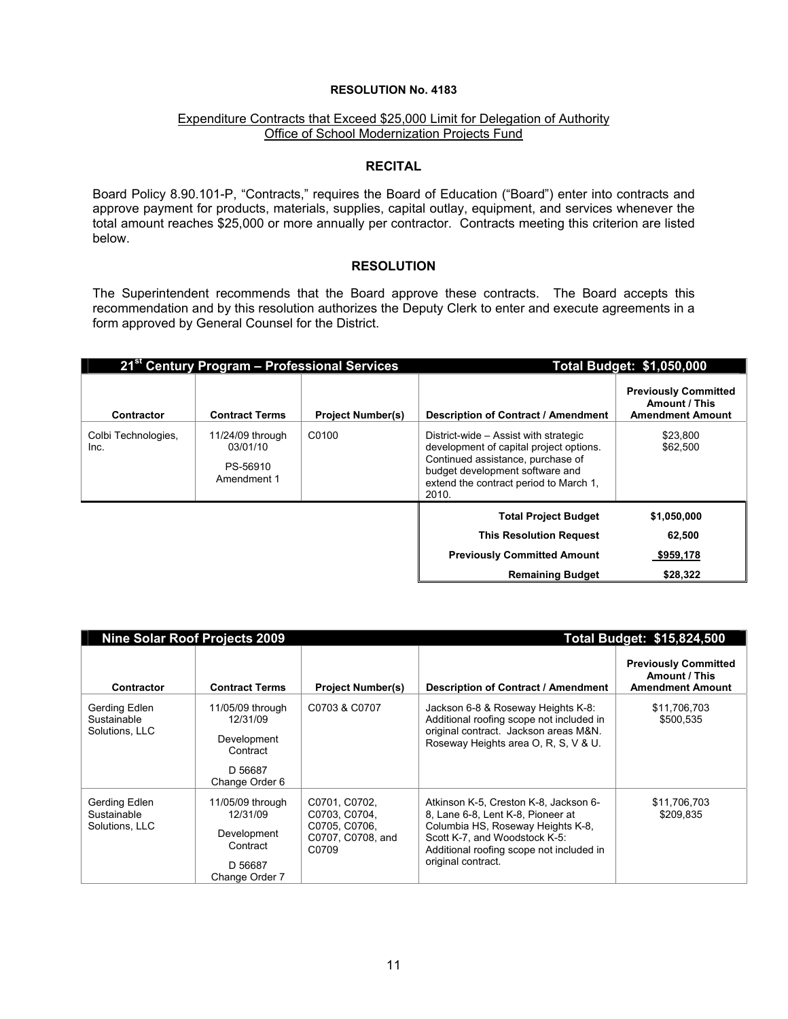#### Expenditure Contracts that Exceed \$25,000 Limit for Delegation of Authority Office of School Modernization Projects Fund

#### **RECITAL**

Board Policy 8.90.101-P, "Contracts," requires the Board of Education ("Board") enter into contracts and approve payment for products, materials, supplies, capital outlay, equipment, and services whenever the total amount reaches \$25,000 or more annually per contractor. Contracts meeting this criterion are listed below.

#### **RESOLUTION**

The Superintendent recommends that the Board approve these contracts. The Board accepts this recommendation and by this resolution authorizes the Deputy Clerk to enter and execute agreements in a form approved by General Counsel for the District.

|                             | 21 <sup>st</sup> Century Program - Professional Services |                          | <b>Total Budget: \$1,050,000</b>                                                                                                                                                                            |                                                                         |  |
|-----------------------------|----------------------------------------------------------|--------------------------|-------------------------------------------------------------------------------------------------------------------------------------------------------------------------------------------------------------|-------------------------------------------------------------------------|--|
| Contractor                  | <b>Contract Terms</b>                                    | <b>Project Number(s)</b> | <b>Description of Contract / Amendment</b>                                                                                                                                                                  | <b>Previously Committed</b><br>Amount / This<br><b>Amendment Amount</b> |  |
| Colbi Technologies,<br>Inc. | 11/24/09 through<br>03/01/10<br>PS-56910<br>Amendment 1  | C0100                    | District-wide - Assist with strategic<br>development of capital project options.<br>Continued assistance, purchase of<br>budget development software and<br>extend the contract period to March 1,<br>2010. | \$23,800<br>\$62,500                                                    |  |
|                             |                                                          |                          | <b>Total Project Budget</b>                                                                                                                                                                                 | \$1,050,000                                                             |  |
|                             |                                                          |                          | <b>This Resolution Request</b>                                                                                                                                                                              | 62,500                                                                  |  |
|                             |                                                          |                          | <b>Previously Committed Amount</b>                                                                                                                                                                          | \$959,178                                                               |  |
|                             |                                                          |                          | <b>Remaining Budget</b>                                                                                                                                                                                     | \$28,322                                                                |  |

| <b>Nine Solar Roof Projects 2009</b>                               |                                                                               | Total Budget: \$15,824,500                                                                                                                                                                                         |                                                                         |  |
|--------------------------------------------------------------------|-------------------------------------------------------------------------------|--------------------------------------------------------------------------------------------------------------------------------------------------------------------------------------------------------------------|-------------------------------------------------------------------------|--|
| <b>Contract Terms</b>                                              | <b>Project Number(s)</b>                                                      | Description of Contract / Amendment                                                                                                                                                                                | <b>Previously Committed</b><br>Amount / This<br><b>Amendment Amount</b> |  |
| 11/05/09 through<br>12/31/09<br>Development<br>Contract            | C0703 & C0707                                                                 | Jackson 6-8 & Roseway Heights K-8:<br>Additional roofing scope not included in<br>original contract. Jackson areas M&N.<br>Roseway Heights area O, R, S, V & U.                                                    | \$11,706,703<br>\$500,535                                               |  |
| D 56687<br>Change Order 6                                          |                                                                               |                                                                                                                                                                                                                    |                                                                         |  |
| 11/05/09 through<br>12/31/09<br>Development<br>Contract<br>D 56687 | C0701, C0702,<br>C0703, C0704,<br>C0705, C0706,<br>C0707, C0708, and<br>C0709 | Atkinson K-5, Creston K-8, Jackson 6-<br>8, Lane 6-8, Lent K-8, Pioneer at<br>Columbia HS, Roseway Heights K-8,<br>Scott K-7, and Woodstock K-5:<br>Additional roofing scope not included in<br>original contract. | \$11,706,703<br>\$209.835                                               |  |
|                                                                    | Change Order 7                                                                |                                                                                                                                                                                                                    |                                                                         |  |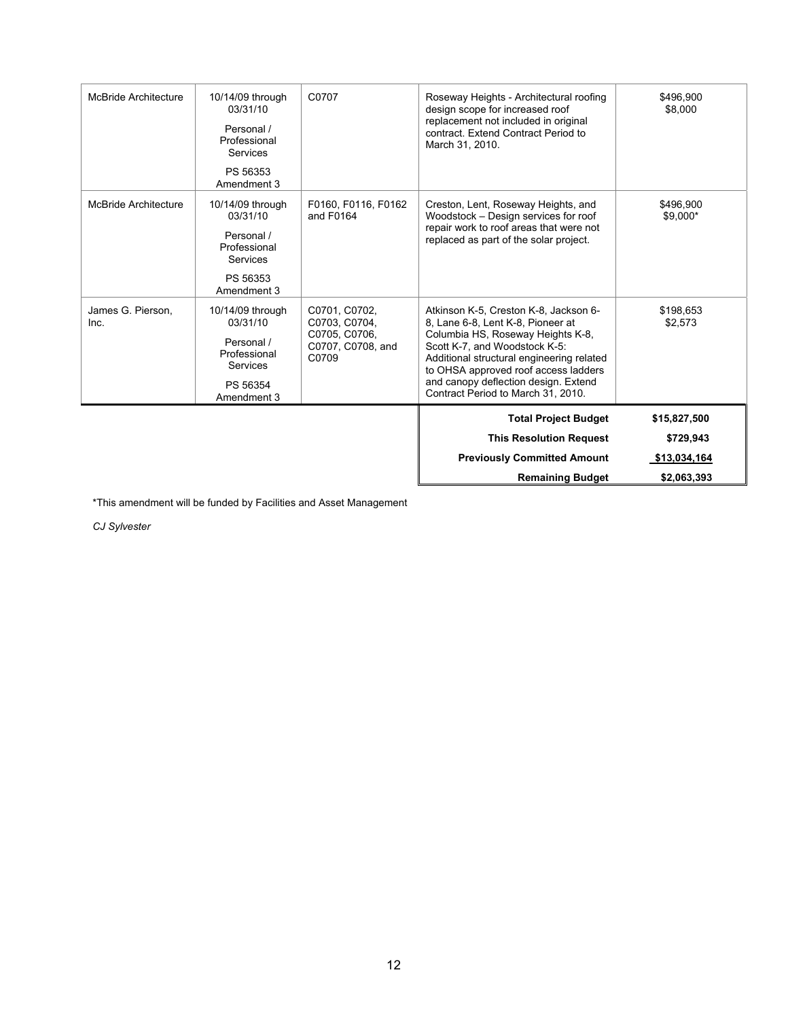|                      |                                                                               |                                                                                                                 | <b>Previously Committed Amount</b><br><b>Remaining Budget</b>                                                                                                                                                                                                              | \$13,034,164<br>\$2,063,393 |
|----------------------|-------------------------------------------------------------------------------|-----------------------------------------------------------------------------------------------------------------|----------------------------------------------------------------------------------------------------------------------------------------------------------------------------------------------------------------------------------------------------------------------------|-----------------------------|
|                      |                                                                               |                                                                                                                 | <b>This Resolution Request</b>                                                                                                                                                                                                                                             | \$729,943                   |
|                      |                                                                               |                                                                                                                 | <b>Total Project Budget</b>                                                                                                                                                                                                                                                | \$15,827,500                |
| Inc.                 | 03/31/10<br>Personal /<br>Professional<br>Services<br>PS 56354<br>Amendment 3 | C0703, C0704,<br>C0705, C0706,<br>C0707, C0708, and<br>C0709                                                    | 8, Lane 6-8, Lent K-8, Pioneer at<br>Columbia HS, Roseway Heights K-8,<br>Scott K-7, and Woodstock K-5:<br>Additional structural engineering related<br>to OHSA approved roof access ladders<br>and canopy deflection design. Extend<br>Contract Period to March 31, 2010. | \$2,573                     |
| James G. Pierson.    | PS 56353<br>Amendment 3<br>10/14/09 through                                   | C0701, C0702,                                                                                                   | Atkinson K-5, Creston K-8, Jackson 6-                                                                                                                                                                                                                                      | \$198,653                   |
|                      | Personal /<br>Professional<br>Services                                        |                                                                                                                 | repair work to roof areas that were not<br>replaced as part of the solar project.                                                                                                                                                                                          |                             |
| McBride Architecture | 10/14/09 through<br>03/31/10                                                  | F0160, F0116, F0162<br>Creston, Lent, Roseway Heights, and<br>and F0164<br>Woodstock - Design services for roof |                                                                                                                                                                                                                                                                            | \$496,900<br>\$9,000*       |
|                      | PS 56353<br>Amendment 3                                                       |                                                                                                                 |                                                                                                                                                                                                                                                                            |                             |
|                      | Personal /<br>Professional<br>Services                                        |                                                                                                                 | replacement not included in original<br>contract. Extend Contract Period to<br>March 31, 2010.                                                                                                                                                                             |                             |
| McBride Architecture | 10/14/09 through<br>03/31/10                                                  | C0707                                                                                                           | Roseway Heights - Architectural roofing<br>design scope for increased roof                                                                                                                                                                                                 | \$496,900<br>\$8,000        |

\*This amendment will be funded by Facilities and Asset Management

*CJ Sylvester*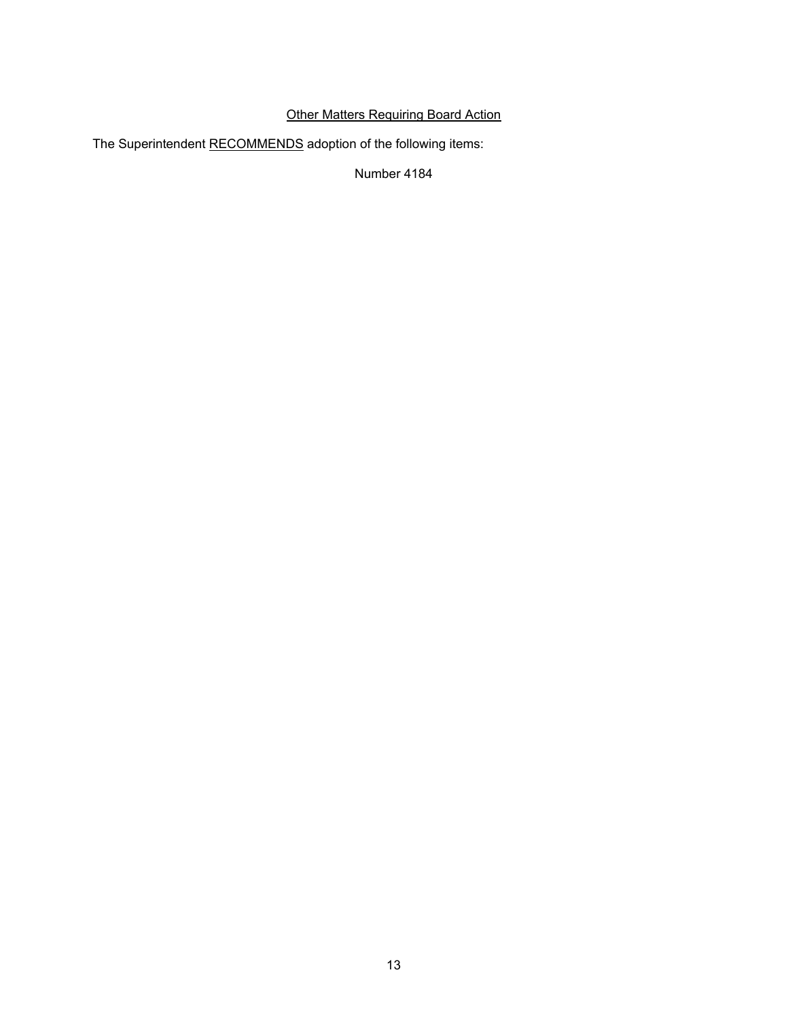# Other Matters Requiring Board Action

The Superintendent RECOMMENDS adoption of the following items:

Number 4184